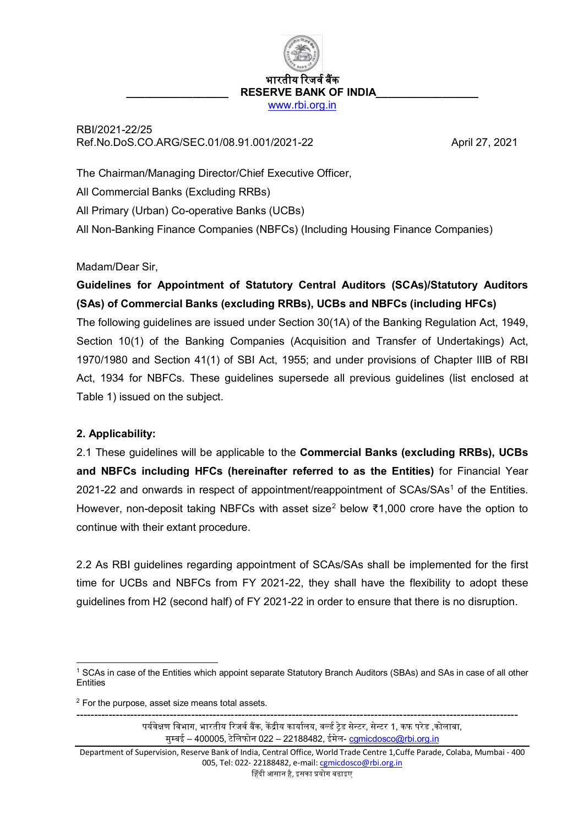भारतीय रिजर्व बैंक RESERVE BANK OF INDIA [www.rbi.org.in](http://www.rbi.org.in/)

RBI/2021-22/25 Ref.No.DoS.CO.ARG/SEC.01/08.91.001/2021-22 April 27, 2021

The Chairman/Managing Director/Chief Executive Officer, All Commercial Banks (Excluding RRBs)

All Primary (Urban) Co-operative Banks (UCBs)

All Non-Banking Finance Companies (NBFCs) (Including Housing Finance Companies)

## Madam/Dear Sir,

# **Guidelines for Appointment of Statutory Central Auditors (SCAs)/Statutory Auditors (SAs) of Commercial Banks (excluding RRBs), UCBs and NBFCs (including HFCs)**

The following guidelines are issued under Section 30(1A) of the Banking Regulation Act, 1949, Section 10(1) of the Banking Companies (Acquisition and Transfer of Undertakings) Act, 1970/1980 and Section 41(1) of SBI Act, 1955; and under provisions of Chapter IIIB of RBI Act, 1934 for NBFCs. These guidelines supersede all previous guidelines (list enclosed at Table 1) issued on the subject.

## **2. Applicability:**

2.1 These guidelines will be applicable to the **Commercial Banks (excluding RRBs), UCBs and NBFCs including HFCs (hereinafter referred to as the Entities)** for Financial Year 202[1](#page-0-0)-22 and onwards in respect of appointment/reappointment of  $SCAs/SAs<sup>1</sup>$  of the Entities. However, non-deposit taking NBFCs with asset size<sup>[2](#page-0-1)</sup> below ₹1,000 crore have the option to continue with their extant procedure.

2.2 As RBI guidelines regarding appointment of SCAs/SAs shall be implemented for the first time for UCBs and NBFCs from FY 2021-22, they shall have the flexibility to adopt these guidelines from H2 (second half) of FY 2021-22 in order to ensure that there is no disruption.

<span id="page-0-1"></span> $2$  For the purpose, asset size means total assets.

--------------------------------------------------------------------------------------------------------------------------- पर्यवेक्षण विभाग, भारतीय रिजर्व बैंक, केंद्रीय कार्यालय, वर्ल्ड टेड सेन्टर, सेन्टर 1, कफ परेड ,कोलाबा, मुम्बई – 400005, टेिलफोन 022 – 22188482, ईमेल- [cgmicdosco@rbi.org.in](mailto:cgmicdosco@rbi.org.in)

<span id="page-0-0"></span> <sup>1</sup> SCAs in case of the Entities which appoint separate Statutory Branch Auditors (SBAs) and SAs in case of all other **Entities** 

Department of Supervision, Reserve Bank of India, Central Office, World Trade Centre 1,Cuffe Parade, Colaba, Mumbai - 400 005, Tel: 022- 22188482, e-mail[: cgmicdosco@rbi.org.in](mailto:cgmicdosco@rbi.org.in) �हंदी आसान है, इसका �योग बढाइए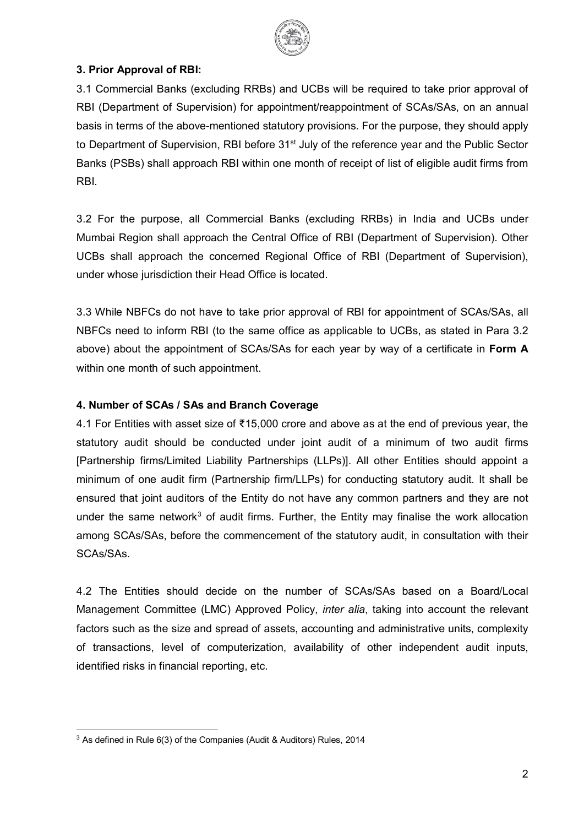

## **3. Prior Approval of RBI:**

3.1 Commercial Banks (excluding RRBs) and UCBs will be required to take prior approval of RBI (Department of Supervision) for appointment/reappointment of SCAs/SAs, on an annual basis in terms of the above-mentioned statutory provisions. For the purpose, they should apply to Department of Supervision, RBI before 31<sup>st</sup> July of the reference year and the Public Sector Banks (PSBs) shall approach RBI within one month of receipt of list of eligible audit firms from RBI.

3.2 For the purpose, all Commercial Banks (excluding RRBs) in India and UCBs under Mumbai Region shall approach the Central Office of RBI (Department of Supervision). Other UCBs shall approach the concerned Regional Office of RBI (Department of Supervision), under whose jurisdiction their Head Office is located.

3.3 While NBFCs do not have to take prior approval of RBI for appointment of SCAs/SAs, all NBFCs need to inform RBI (to the same office as applicable to UCBs, as stated in Para 3.2 above) about the appointment of SCAs/SAs for each year by way of a certificate in **Form A** within one month of such appointment.

## **4. Number of SCAs / SAs and Branch Coverage**

4.1 For Entities with asset size of ₹15,000 crore and above as at the end of previous year, the statutory audit should be conducted under joint audit of a minimum of two audit firms [Partnership firms/Limited Liability Partnerships (LLPs)]. All other Entities should appoint a minimum of one audit firm (Partnership firm/LLPs) for conducting statutory audit. It shall be ensured that joint auditors of the Entity do not have any common partners and they are not under the same network<sup>[3](#page-1-0)</sup> of audit firms. Further, the Entity may finalise the work allocation among SCAs/SAs, before the commencement of the statutory audit, in consultation with their SCAs/SAs.

4.2 The Entities should decide on the number of SCAs/SAs based on a Board/Local Management Committee (LMC) Approved Policy, *inter alia*, taking into account the relevant factors such as the size and spread of assets, accounting and administrative units, complexity of transactions, level of computerization, availability of other independent audit inputs, identified risks in financial reporting, etc.

<span id="page-1-0"></span><sup>&</sup>lt;sup>3</sup> As defined in Rule 6(3) of the Companies (Audit & Auditors) Rules, 2014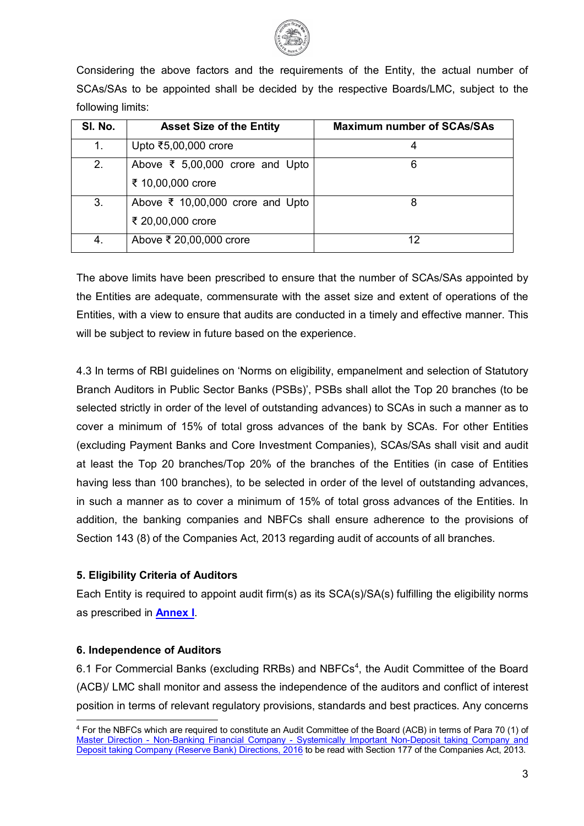

Considering the above factors and the requirements of the Entity, the actual number of SCAs/SAs to be appointed shall be decided by the respective Boards/LMC, subject to the following limits:

| SI. No. | <b>Asset Size of the Entity</b>                                     | <b>Maximum number of SCAs/SAs</b> |
|---------|---------------------------------------------------------------------|-----------------------------------|
| 1.      | Upto ₹5,00,000 crore                                                |                                   |
| 2.      | Above $\overline{\xi}$ 5,00,000 crore and Upto<br>₹ 10,00,000 crore | 6                                 |
| 3.      | Above ₹ 10,00,000 crore and Upto<br>₹ 20,00,000 crore               | 8                                 |
| 4.      | Above ₹ 20,00,000 crore                                             | 12                                |

The above limits have been prescribed to ensure that the number of SCAs/SAs appointed by the Entities are adequate, commensurate with the asset size and extent of operations of the Entities, with a view to ensure that audits are conducted in a timely and effective manner. This will be subject to review in future based on the experience.

4.3 In terms of RBI guidelines on 'Norms on eligibility, empanelment and selection of Statutory Branch Auditors in Public Sector Banks (PSBs)', PSBs shall allot the Top 20 branches (to be selected strictly in order of the level of outstanding advances) to SCAs in such a manner as to cover a minimum of 15% of total gross advances of the bank by SCAs. For other Entities (excluding Payment Banks and Core Investment Companies), SCAs/SAs shall visit and audit at least the Top 20 branches/Top 20% of the branches of the Entities (in case of Entities having less than 100 branches), to be selected in order of the level of outstanding advances, in such a manner as to cover a minimum of 15% of total gross advances of the Entities. In addition, the banking companies and NBFCs shall ensure adherence to the provisions of Section 143 (8) of the Companies Act, 2013 regarding audit of accounts of all branches.

#### **5. Eligibility Criteria of Auditors**

Each Entity is required to appoint audit firm(s) as its SCA(s)/SA(s) fulfilling the eligibility norms as prescribed in **[Annex I](#page-6-0)**.

## **6. Independence of Auditors**

6.1 For Commercial Banks (excluding RRBs) and NBFCs<sup>[4](#page-2-0)</sup>, the Audit Committee of the Board (ACB)/ LMC shall monitor and assess the independence of the auditors and conflict of interest position in terms of relevant regulatory provisions, standards and best practices. Any concerns

<span id="page-2-0"></span> <sup>4</sup> For the NBFCs which are required to constitute an Audit Committee of the Board (ACB) in terms of Para 70 (1) of Master Direction - Non-Banking Financial Company - [Systemically Important Non-Deposit taking Company and](https://www.rbi.org.in/Scripts/BS_ViewMasDirections.aspx?id=10586)  [Deposit taking Company \(Reserve Bank\) Directions, 2016](https://www.rbi.org.in/Scripts/BS_ViewMasDirections.aspx?id=10586) to be read with Section 177 of the Companies Act, 2013.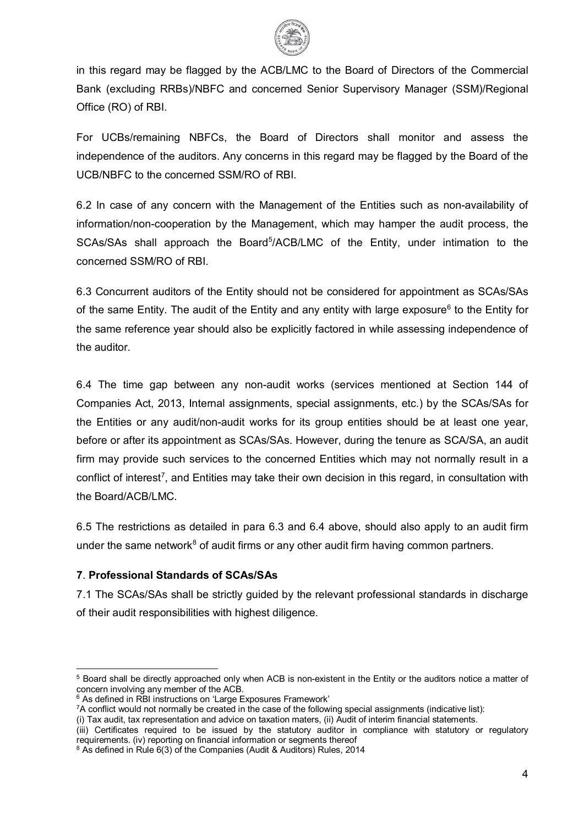

in this regard may be flagged by the ACB/LMC to the Board of Directors of the Commercial Bank (excluding RRBs)/NBFC and concerned Senior Supervisory Manager (SSM)/Regional Office (RO) of RBI.

For UCBs/remaining NBFCs, the Board of Directors shall monitor and assess the independence of the auditors. Any concerns in this regard may be flagged by the Board of the UCB/NBFC to the concerned SSM/RO of RBI.

6.2 In case of any concern with the Management of the Entities such as non-availability of information/non-cooperation by the Management, which may hamper the audit process, the SCAs/SAs shall approach the Board<sup>[5](#page-3-0)</sup>/ACB/LMC of the Entity, under intimation to the concerned SSM/RO of RBI.

6.3 Concurrent auditors of the Entity should not be considered for appointment as SCAs/SAs of the same Entity. The audit of the Entity and any entity with large exposure<sup>[6](#page-3-1)</sup> to the Entity for the same reference year should also be explicitly factored in while assessing independence of the auditor.

6.4 The time gap between any non-audit works (services mentioned at Section 144 of Companies Act, 2013, Internal assignments, special assignments, etc.) by the SCAs/SAs for the Entities or any audit/non-audit works for its group entities should be at least one year, before or after its appointment as SCAs/SAs. However, during the tenure as SCA/SA, an audit firm may provide such services to the concerned Entities which may not normally result in a conflict of interest<sup>7</sup>, and Entities may take their own decision in this regard, in consultation with the Board/ACB/LMC.

6.5 The restrictions as detailed in para 6.3 and 6.4 above, should also apply to an audit firm under the same network<sup>[8](#page-3-3)</sup> of audit firms or any other audit firm having common partners.

## **7**. **Professional Standards of SCAs/SAs**

7.1 The SCAs/SAs shall be strictly guided by the relevant professional standards in discharge of their audit responsibilities with highest diligence.

<span id="page-3-0"></span> $5$  Board shall be directly approached only when ACB is non-existent in the Entity or the auditors notice a matter of concern involving any member of the ACB.

<span id="page-3-1"></span> $6$  As defined in RBI instructions on 'Large Exposures Framework'

<span id="page-3-2"></span><sup>7</sup>A conflict would not normally be created in the case of the following special assignments (indicative list):

<sup>(</sup>i) Tax audit, tax representation and advice on taxation maters, (ii) Audit of interim financial statements.

<sup>(</sup>iii) Certificates required to be issued by the statutory auditor in compliance with statutory or regulatory requirements. (iv) reporting on financial information or segments thereof

<span id="page-3-3"></span><sup>&</sup>lt;sup>8</sup> As defined in Rule 6(3) of the Companies (Audit & Auditors) Rules, 2014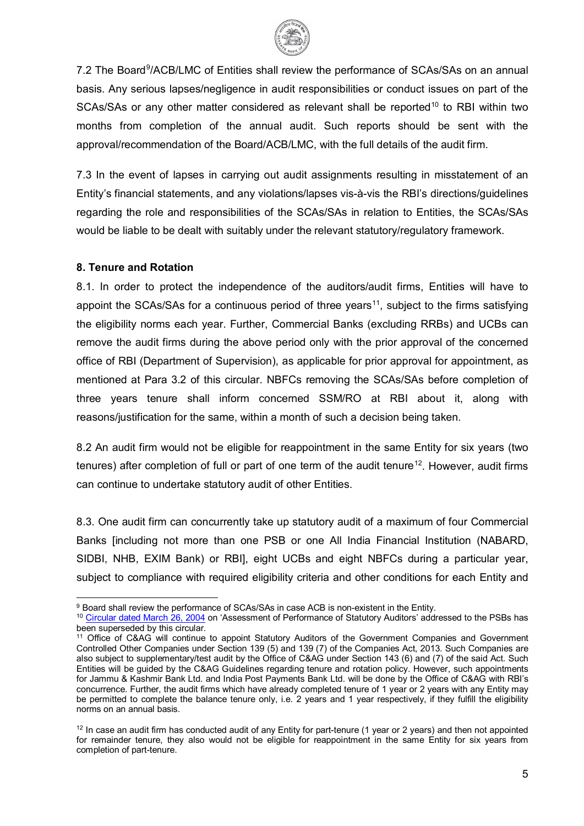

7.2 The Board<sup>[9](#page-4-0)</sup>/ACB/LMC of Entities shall review the performance of SCAs/SAs on an annual basis. Any serious lapses/negligence in audit responsibilities or conduct issues on part of the SCAs/SAs or any other matter considered as relevant shall be reported<sup>[10](#page-4-1)</sup> to RBI within two months from completion of the annual audit. Such reports should be sent with the approval/recommendation of the Board/ACB/LMC, with the full details of the audit firm.

7.3 In the event of lapses in carrying out audit assignments resulting in misstatement of an Entity's financial statements, and any violations/lapses vis-à-vis the RBI's directions/guidelines regarding the role and responsibilities of the SCAs/SAs in relation to Entities, the SCAs/SAs would be liable to be dealt with suitably under the relevant statutory/regulatory framework.

#### **8. Tenure and Rotation**

8.1. In order to protect the independence of the auditors/audit firms, Entities will have to appoint the SCAs/SAs for a continuous period of three years<sup>[11](#page-4-2)</sup>, subject to the firms satisfying the eligibility norms each year. Further, Commercial Banks (excluding RRBs) and UCBs can remove the audit firms during the above period only with the prior approval of the concerned office of RBI (Department of Supervision), as applicable for prior approval for appointment, as mentioned at Para 3.2 of this circular. NBFCs removing the SCAs/SAs before completion of three years tenure shall inform concerned SSM/RO at RBI about it, along with reasons/justification for the same, within a month of such a decision being taken.

8.2 An audit firm would not be eligible for reappointment in the same Entity for six years (two tenures) after completion of full or part of one term of the audit tenure<sup>[12](#page-4-3)</sup>. However, audit firms can continue to undertake statutory audit of other Entities.

8.3. One audit firm can concurrently take up statutory audit of a maximum of four Commercial Banks [including not more than one PSB or one All India Financial Institution (NABARD, SIDBI, NHB, EXIM Bank) or RBI], eight UCBs and eight NBFCs during a particular year, subject to compliance with required eligibility criteria and other conditions for each Entity and

<span id="page-4-0"></span> <sup>9</sup> Board shall review the performance of SCAs/SAs in case ACB is non-existent in the Entity.

<span id="page-4-1"></span><sup>10</sup> [Circular dated March 26, 2004](https://www.rbi.org.in/Scripts/NotificationUser.aspx?Id=1630&Mode=0) on 'Assessment of Performance of Statutory Auditors' addressed to the PSBs has been superseded by this circular.

<span id="page-4-2"></span><sup>11</sup> Office of C&AG will continue to appoint Statutory Auditors of the Government Companies and Government Controlled Other Companies under Section 139 (5) and 139 (7) of the Companies Act, 2013. Such Companies are also subject to supplementary/test audit by the Office of C&AG under Section 143 (6) and (7) of the said Act. Such Entities will be guided by the C&AG Guidelines regarding tenure and rotation policy. However, such appointments for Jammu & Kashmir Bank Ltd. and India Post Payments Bank Ltd. will be done by the Office of C&AG with RBI's concurrence. Further, the audit firms which have already completed tenure of 1 year or 2 years with any Entity may be permitted to complete the balance tenure only, i.e. 2 years and 1 year respectively, if they fulfill the eligibility norms on an annual basis.

<span id="page-4-3"></span> $12$  In case an audit firm has conducted audit of any Entity for part-tenure (1 year or 2 years) and then not appointed for remainder tenure, they also would not be eligible for reappointment in the same Entity for six years from completion of part-tenure.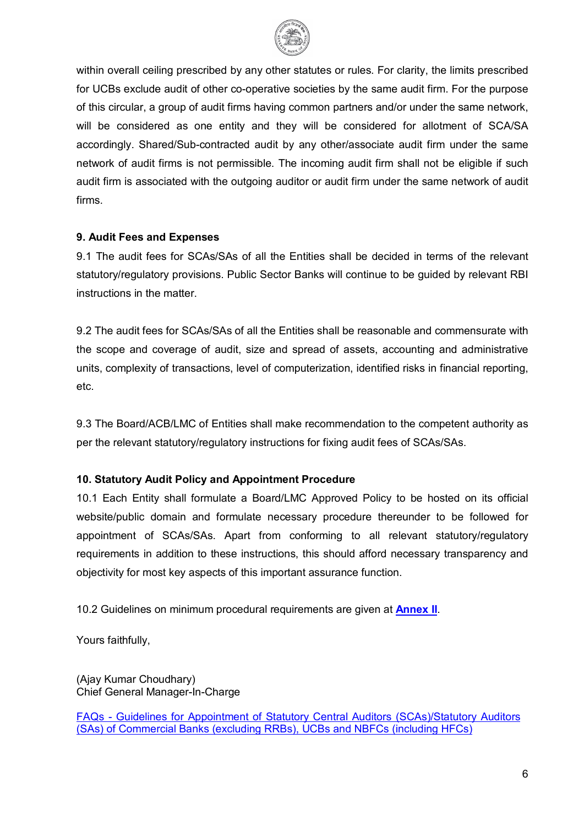

within overall ceiling prescribed by any other statutes or rules. For clarity, the limits prescribed for UCBs exclude audit of other co-operative societies by the same audit firm. For the purpose of this circular, a group of audit firms having common partners and/or under the same network, will be considered as one entity and they will be considered for allotment of SCA/SA accordingly. Shared/Sub-contracted audit by any other/associate audit firm under the same network of audit firms is not permissible. The incoming audit firm shall not be eligible if such audit firm is associated with the outgoing auditor or audit firm under the same network of audit firms.

#### **9. Audit Fees and Expenses**

9.1 The audit fees for SCAs/SAs of all the Entities shall be decided in terms of the relevant statutory/regulatory provisions. Public Sector Banks will continue to be guided by relevant RBI instructions in the matter.

9.2 The audit fees for SCAs/SAs of all the Entities shall be reasonable and commensurate with the scope and coverage of audit, size and spread of assets, accounting and administrative units, complexity of transactions, level of computerization, identified risks in financial reporting, etc.

9.3 The Board/ACB/LMC of Entities shall make recommendation to the competent authority as per the relevant statutory/regulatory instructions for fixing audit fees of SCAs/SAs.

## **10. Statutory Audit Policy and Appointment Procedure**

10.1 Each Entity shall formulate a Board/LMC Approved Policy to be hosted on its official website/public domain and formulate necessary procedure thereunder to be followed for appointment of SCAs/SAs. Apart from conforming to all relevant statutory/regulatory requirements in addition to these instructions, this should afford necessary transparency and objectivity for most key aspects of this important assurance function.

10.2 Guidelines on minimum procedural requirements are given at **[Annex II](#page-9-0)**.

Yours faithfully,

(Ajay Kumar Choudhary) Chief General Manager-In-Charge

FAQs - [Guidelines for Appointment of Statutory Central Auditors \(SCAs\)/Statutory Auditors](https://rbi.org.in/Scripts/FAQView.aspx?Id=141)  [\(SAs\) of Commercial Banks \(excluding RRBs\), UCBs and NBFCs \(including HFCs\)](https://rbi.org.in/Scripts/FAQView.aspx?Id=141)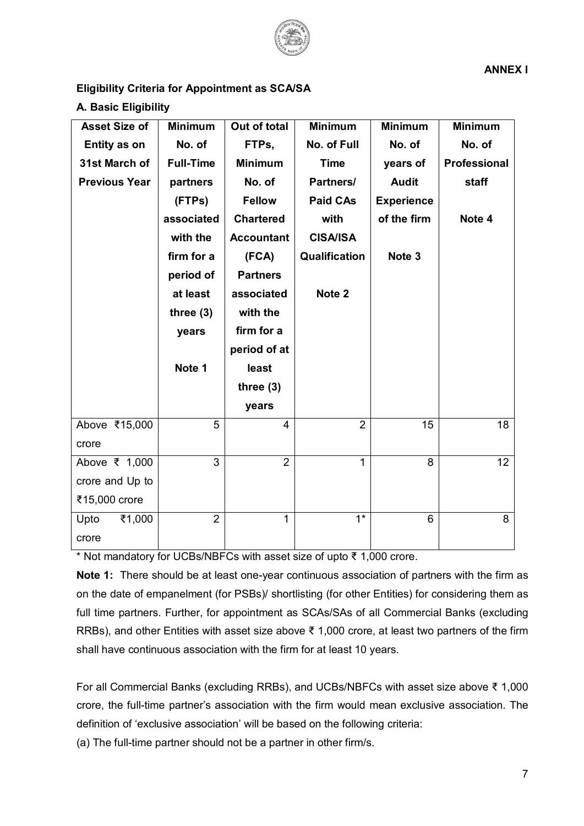

## <span id="page-6-0"></span>**Eligibility Criteria for Appointment as SCA/SA**

#### **A. Basic Eligibility**

| <b>Asset Size of</b> | <b>Minimum</b>   | Out of total      | <b>Minimum</b>   | <b>Minimum</b>    | <b>Minimum</b>      |
|----------------------|------------------|-------------------|------------------|-------------------|---------------------|
| Entity as on         | No. of           | FTPs,             | No. of Full      | No. of            | No. of              |
| 31st March of        | <b>Full-Time</b> | <b>Minimum</b>    | <b>Time</b>      | years of          | <b>Professional</b> |
| <b>Previous Year</b> | partners         | No. of            | Partners/        | <b>Audit</b>      | staff               |
|                      | (FTPs)           | <b>Fellow</b>     | <b>Paid CAs</b>  | <b>Experience</b> |                     |
|                      | associated       | <b>Chartered</b>  | with             | of the firm       | Note 4              |
|                      | with the         | <b>Accountant</b> | <b>CISA/ISA</b>  |                   |                     |
|                      | firm for a       | (FCA)             | Qualification    | Note 3            |                     |
|                      | period of        | <b>Partners</b>   |                  |                   |                     |
|                      | at least         | associated        | Note 2           |                   |                     |
|                      | three $(3)$      | with the          |                  |                   |                     |
|                      | years            | firm for a        |                  |                   |                     |
|                      |                  | period of at      |                  |                   |                     |
|                      | Note 1           | least             |                  |                   |                     |
|                      |                  | three $(3)$       |                  |                   |                     |
|                      |                  | years             |                  |                   |                     |
| Above ₹15,000        | 5                | $\overline{4}$    | $\overline{2}$   | 15                | 18                  |
| crore                |                  |                   |                  |                   |                     |
| Above ₹ 1,000        | 3                | $\overline{2}$    | $\mathbf{1}$     | 8                 | 12                  |
| crore and Up to      |                  |                   |                  |                   |                     |
| ₹15,000 crore        |                  |                   |                  |                   |                     |
| ₹1,000<br>Upto       | $\overline{2}$   | $\mathbf{1}$      | $\overline{1^*}$ | 6                 | 8                   |
| crore                |                  |                   |                  |                   |                     |

\* Not mandatory for UCBs/NBFCs with asset size of upto ₹ 1,000 crore.

**Note 1:** There should be at least one-year continuous association of partners with the firm as on the date of empanelment (for PSBs)/ shortlisting (for other Entities) for considering them as full time partners. Further, for appointment as SCAs/SAs of all Commercial Banks (excluding RRBs), and other Entities with asset size above ₹ 1,000 crore, at least two partners of the firm shall have continuous association with the firm for at least 10 years.

For all Commercial Banks (excluding RRBs), and UCBs/NBFCs with asset size above ₹ 1,000 crore, the full-time partner's association with the firm would mean exclusive association. The definition of 'exclusive association' will be based on the following criteria:

(a) The full-time partner should not be a partner in other firm/s.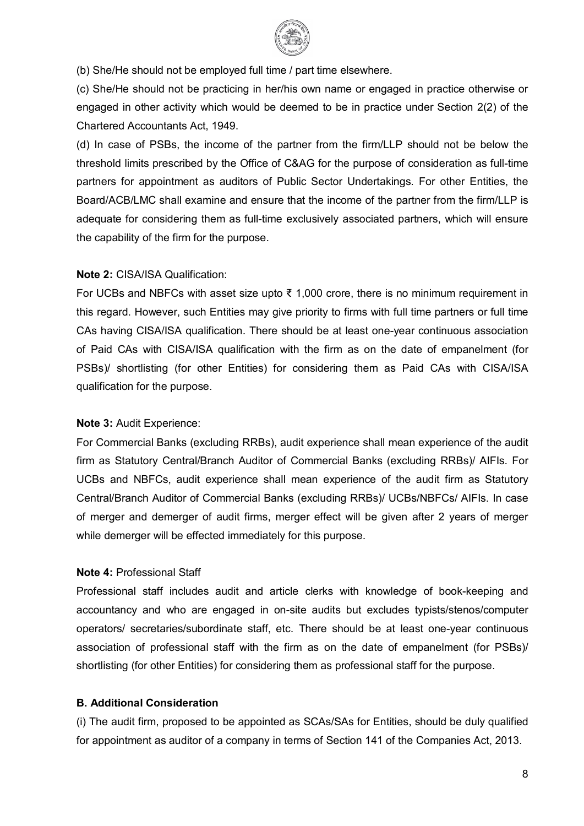

(b) She/He should not be employed full time / part time elsewhere.

(c) She/He should not be practicing in her/his own name or engaged in practice otherwise or engaged in other activity which would be deemed to be in practice under Section 2(2) of the Chartered Accountants Act, 1949.

(d) In case of PSBs, the income of the partner from the firm/LLP should not be below the threshold limits prescribed by the Office of C&AG for the purpose of consideration as full-time partners for appointment as auditors of Public Sector Undertakings. For other Entities, the Board/ACB/LMC shall examine and ensure that the income of the partner from the firm/LLP is adequate for considering them as full-time exclusively associated partners, which will ensure the capability of the firm for the purpose.

#### **Note 2:** CISA/ISA Qualification:

For UCBs and NBFCs with asset size upto ₹ 1,000 crore, there is no minimum requirement in this regard. However, such Entities may give priority to firms with full time partners or full time CAs having CISA/ISA qualification. There should be at least one-year continuous association of Paid CAs with CISA/ISA qualification with the firm as on the date of empanelment (for PSBs)/ shortlisting (for other Entities) for considering them as Paid CAs with CISA/ISA qualification for the purpose.

#### **Note 3:** Audit Experience:

For Commercial Banks (excluding RRBs), audit experience shall mean experience of the audit firm as Statutory Central/Branch Auditor of Commercial Banks (excluding RRBs)/ AIFIs. For UCBs and NBFCs, audit experience shall mean experience of the audit firm as Statutory Central/Branch Auditor of Commercial Banks (excluding RRBs)/ UCBs/NBFCs/ AIFIs. In case of merger and demerger of audit firms, merger effect will be given after 2 years of merger while demerger will be effected immediately for this purpose.

#### **Note 4:** Professional Staff

Professional staff includes audit and article clerks with knowledge of book-keeping and accountancy and who are engaged in on-site audits but excludes typists/stenos/computer operators/ secretaries/subordinate staff, etc. There should be at least one-year continuous association of professional staff with the firm as on the date of empanelment (for PSBs)/ shortlisting (for other Entities) for considering them as professional staff for the purpose.

#### **B. Additional Consideration**

(i) The audit firm, proposed to be appointed as SCAs/SAs for Entities, should be duly qualified for appointment as auditor of a company in terms of Section 141 of the Companies Act, 2013.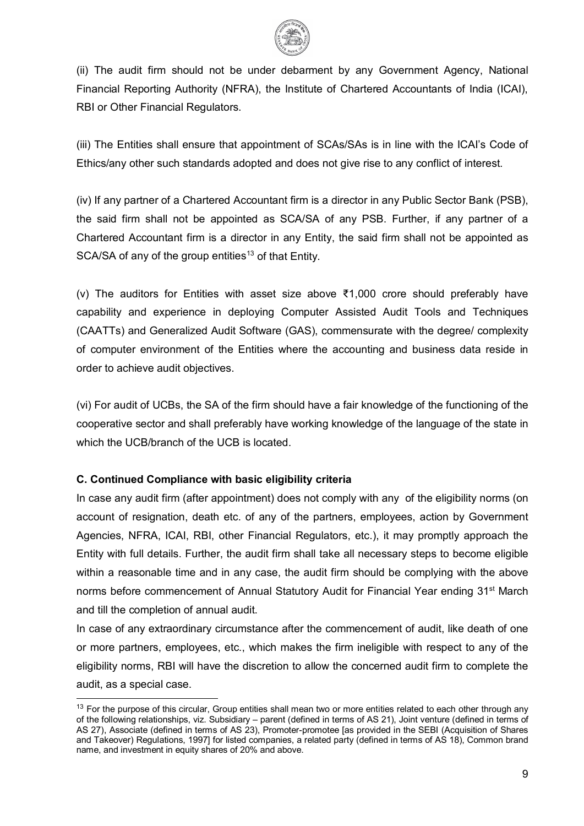

(ii) The audit firm should not be under debarment by any Government Agency, National Financial Reporting Authority (NFRA), the Institute of Chartered Accountants of India (ICAI), RBI or Other Financial Regulators.

(iii) The Entities shall ensure that appointment of SCAs/SAs is in line with the ICAI's Code of Ethics/any other such standards adopted and does not give rise to any conflict of interest.

(iv) If any partner of a Chartered Accountant firm is a director in any Public Sector Bank (PSB), the said firm shall not be appointed as SCA/SA of any PSB. Further, if any partner of a Chartered Accountant firm is a director in any Entity, the said firm shall not be appointed as SCA/SA of any of the group entities<sup>[13](#page-8-0)</sup> of that Entity.

(v) The auditors for Entities with asset size above ₹1,000 crore should preferably have capability and experience in deploying Computer Assisted Audit Tools and Techniques (CAATTs) and Generalized Audit Software (GAS), commensurate with the degree/ complexity of computer environment of the Entities where the accounting and business data reside in order to achieve audit objectives.

(vi) For audit of UCBs, the SA of the firm should have a fair knowledge of the functioning of the cooperative sector and shall preferably have working knowledge of the language of the state in which the UCB/branch of the UCB is located.

## **C. Continued Compliance with basic eligibility criteria**

In case any audit firm (after appointment) does not comply with any of the eligibility norms (on account of resignation, death etc. of any of the partners, employees, action by Government Agencies, NFRA, ICAI, RBI, other Financial Regulators, etc.), it may promptly approach the Entity with full details. Further, the audit firm shall take all necessary steps to become eligible within a reasonable time and in any case, the audit firm should be complying with the above norms before commencement of Annual Statutory Audit for Financial Year ending 31<sup>st</sup> March and till the completion of annual audit.

In case of any extraordinary circumstance after the commencement of audit, like death of one or more partners, employees, etc., which makes the firm ineligible with respect to any of the eligibility norms, RBI will have the discretion to allow the concerned audit firm to complete the audit, as a special case.

<span id="page-8-0"></span><sup>&</sup>lt;sup>13</sup> For the purpose of this circular, Group entities shall mean two or more entities related to each other through any of the following relationships, viz. Subsidiary – parent (defined in terms of AS 21), Joint venture (defined in terms of AS 27), Associate (defined in terms of AS 23), Promoter-promotee [as provided in the SEBI (Acquisition of Shares and Takeover) Regulations, 1997] for listed companies, a related party (defined in terms of AS 18), Common brand name, and investment in equity shares of 20% and above.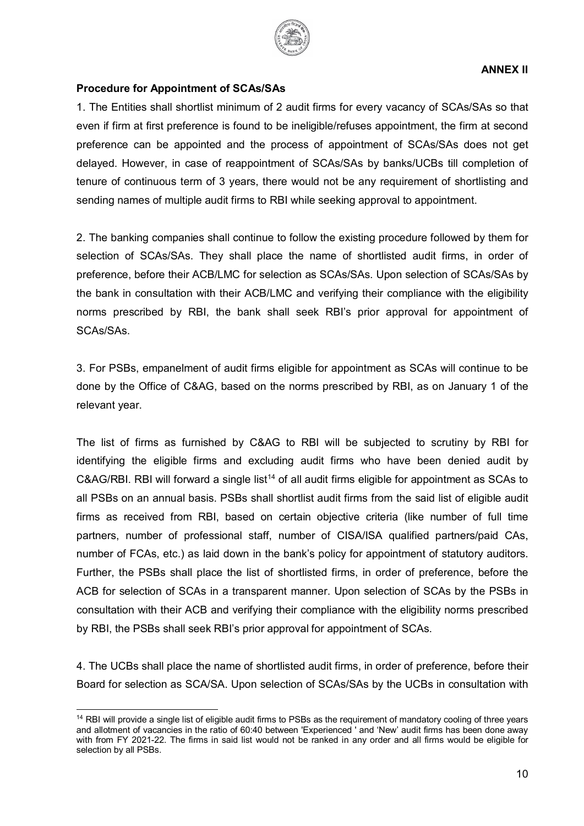

#### <span id="page-9-0"></span>**Procedure for Appointment of SCAs/SAs**

1. The Entities shall shortlist minimum of 2 audit firms for every vacancy of SCAs/SAs so that even if firm at first preference is found to be ineligible/refuses appointment, the firm at second preference can be appointed and the process of appointment of SCAs/SAs does not get delayed. However, in case of reappointment of SCAs/SAs by banks/UCBs till completion of tenure of continuous term of 3 years, there would not be any requirement of shortlisting and sending names of multiple audit firms to RBI while seeking approval to appointment.

2. The banking companies shall continue to follow the existing procedure followed by them for selection of SCAs/SAs. They shall place the name of shortlisted audit firms, in order of preference, before their ACB/LMC for selection as SCAs/SAs. Upon selection of SCAs/SAs by the bank in consultation with their ACB/LMC and verifying their compliance with the eligibility norms prescribed by RBI, the bank shall seek RBI's prior approval for appointment of SCAs/SAs.

3. For PSBs, empanelment of audit firms eligible for appointment as SCAs will continue to be done by the Office of C&AG, based on the norms prescribed by RBI, as on January 1 of the relevant year.

The list of firms as furnished by C&AG to RBI will be subjected to scrutiny by RBI for identifying the eligible firms and excluding audit firms who have been denied audit by  $C\&AG/RBI$ . RBI will forward a single list<sup>[14](#page-9-1)</sup> of all audit firms eligible for appointment as SCAs to all PSBs on an annual basis. PSBs shall shortlist audit firms from the said list of eligible audit firms as received from RBI, based on certain objective criteria (like number of full time partners, number of professional staff, number of CISA/ISA qualified partners/paid CAs, number of FCAs, etc.) as laid down in the bank's policy for appointment of statutory auditors. Further, the PSBs shall place the list of shortlisted firms, in order of preference, before the ACB for selection of SCAs in a transparent manner. Upon selection of SCAs by the PSBs in consultation with their ACB and verifying their compliance with the eligibility norms prescribed by RBI, the PSBs shall seek RBI's prior approval for appointment of SCAs.

4. The UCBs shall place the name of shortlisted audit firms, in order of preference, before their Board for selection as SCA/SA. Upon selection of SCAs/SAs by the UCBs in consultation with

<span id="page-9-1"></span><sup>&</sup>lt;sup>14</sup> RBI will provide a single list of eligible audit firms to PSBs as the requirement of mandatory cooling of three years and allotment of vacancies in the ratio of 60:40 between 'Experienced ' and 'New' audit firms has been done away with from FY 2021-22. The firms in said list would not be ranked in any order and all firms would be eligible for selection by all PSBs.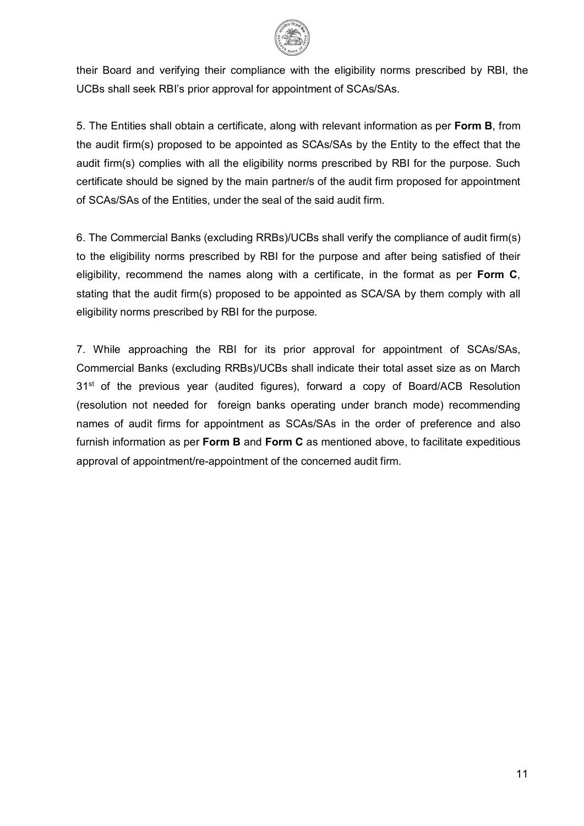

their Board and verifying their compliance with the eligibility norms prescribed by RBI, the UCBs shall seek RBI's prior approval for appointment of SCAs/SAs.

5. The Entities shall obtain a certificate, along with relevant information as per **Form B**, from the audit firm(s) proposed to be appointed as SCAs/SAs by the Entity to the effect that the audit firm(s) complies with all the eligibility norms prescribed by RBI for the purpose. Such certificate should be signed by the main partner/s of the audit firm proposed for appointment of SCAs/SAs of the Entities, under the seal of the said audit firm.

6. The Commercial Banks (excluding RRBs)/UCBs shall verify the compliance of audit firm(s) to the eligibility norms prescribed by RBI for the purpose and after being satisfied of their eligibility, recommend the names along with a certificate, in the format as per **Form C**, stating that the audit firm(s) proposed to be appointed as SCA/SA by them comply with all eligibility norms prescribed by RBI for the purpose.

7. While approaching the RBI for its prior approval for appointment of SCAs/SAs, Commercial Banks (excluding RRBs)/UCBs shall indicate their total asset size as on March 31<sup>st</sup> of the previous year (audited figures), forward a copy of Board/ACB Resolution (resolution not needed for foreign banks operating under branch mode) recommending names of audit firms for appointment as SCAs/SAs in the order of preference and also furnish information as per **Form B** and **Form C** as mentioned above, to facilitate expeditious approval of appointment/re-appointment of the concerned audit firm.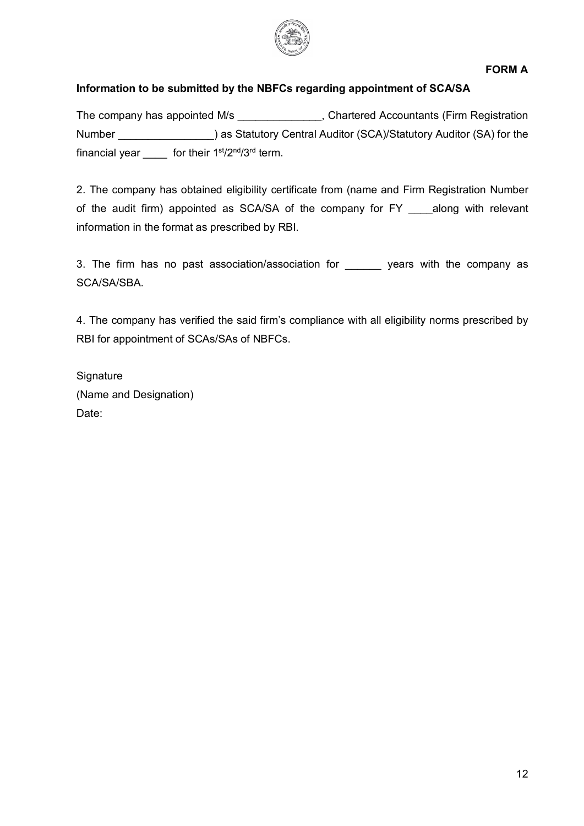

## **Information to be submitted by the NBFCs regarding appointment of SCA/SA**

The company has appointed M/s and the Chartered Accountants (Firm Registration Number \_\_\_\_\_\_\_\_\_\_\_\_\_\_\_\_) as Statutory Central Auditor (SCA)/Statutory Auditor (SA) for the financial year for their  $1<sup>st</sup>/2<sup>nd</sup>/3<sup>rd</sup>$  term.

2. The company has obtained eligibility certificate from (name and Firm Registration Number of the audit firm) appointed as SCA/SA of the company for FY \_\_\_\_along with relevant information in the format as prescribed by RBI.

3. The firm has no past association/association for \_\_\_\_\_\_ years with the company as SCA/SA/SBA.

4. The company has verified the said firm's compliance with all eligibility norms prescribed by RBI for appointment of SCAs/SAs of NBFCs.

**Signature** (Name and Designation) Date: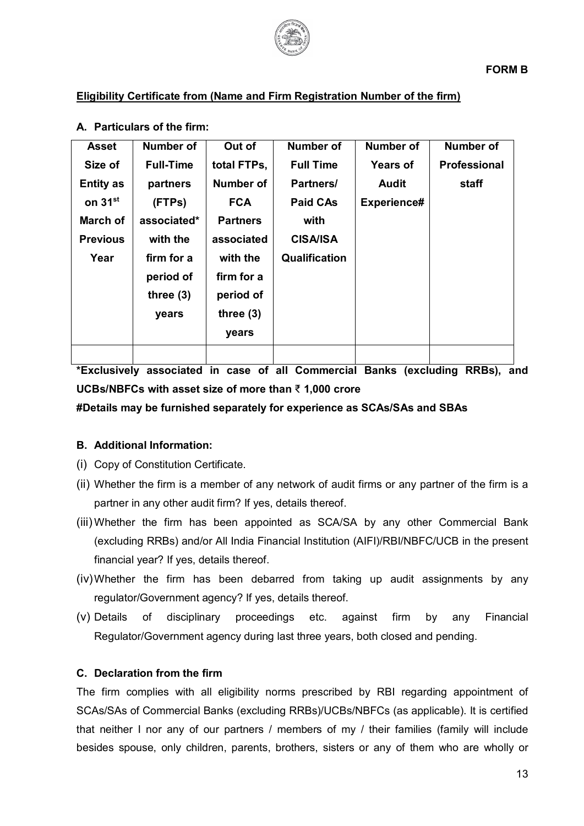

## **Eligibility Certificate from (Name and Firm Registration Number of the firm)**

| <b>Asset</b>        | Number of        | Out of          | <b>Number of</b> | <b>Number of</b> | <b>Number of</b>    |
|---------------------|------------------|-----------------|------------------|------------------|---------------------|
| Size of             | <b>Full-Time</b> | total FTPs,     | <b>Full Time</b> | <b>Years of</b>  | <b>Professional</b> |
| <b>Entity as</b>    | partners         | Number of       | Partners/        | <b>Audit</b>     | staff               |
| on 31 <sup>st</sup> | (FTPs)           | <b>FCA</b>      | <b>Paid CAs</b>  | Experience#      |                     |
| March of            | associated*      | <b>Partners</b> | with             |                  |                     |
| <b>Previous</b>     | with the         | associated      | <b>CISA/ISA</b>  |                  |                     |
| Year                | firm for a       | with the        | Qualification    |                  |                     |
|                     | period of        | firm for a      |                  |                  |                     |
|                     | three $(3)$      | period of       |                  |                  |                     |
|                     | years            | three $(3)$     |                  |                  |                     |
|                     |                  | years           |                  |                  |                     |
|                     |                  |                 |                  |                  |                     |

### **A. Particulars of the firm:**

**\*Exclusively associated in case of all Commercial Banks (excluding RRBs), and UCBs/NBFCs with asset size of more than** ₹ **1,000 crore**

#### **#Details may be furnished separately for experience as SCAs/SAs and SBAs**

#### **B. Additional Information:**

- (i) Copy of Constitution Certificate.
- (ii) Whether the firm is a member of any network of audit firms or any partner of the firm is a partner in any other audit firm? If yes, details thereof.
- (iii) Whether the firm has been appointed as SCA/SA by any other Commercial Bank (excluding RRBs) and/or All India Financial Institution (AIFI)/RBI/NBFC/UCB in the present financial year? If yes, details thereof.
- (iv)Whether the firm has been debarred from taking up audit assignments by any regulator/Government agency? If yes, details thereof.
- (v) Details of disciplinary proceedings etc. against firm by any Financial Regulator/Government agency during last three years, both closed and pending.

#### **C. Declaration from the firm**

The firm complies with all eligibility norms prescribed by RBI regarding appointment of SCAs/SAs of Commercial Banks (excluding RRBs)/UCBs/NBFCs (as applicable). It is certified that neither I nor any of our partners / members of my / their families (family will include besides spouse, only children, parents, brothers, sisters or any of them who are wholly or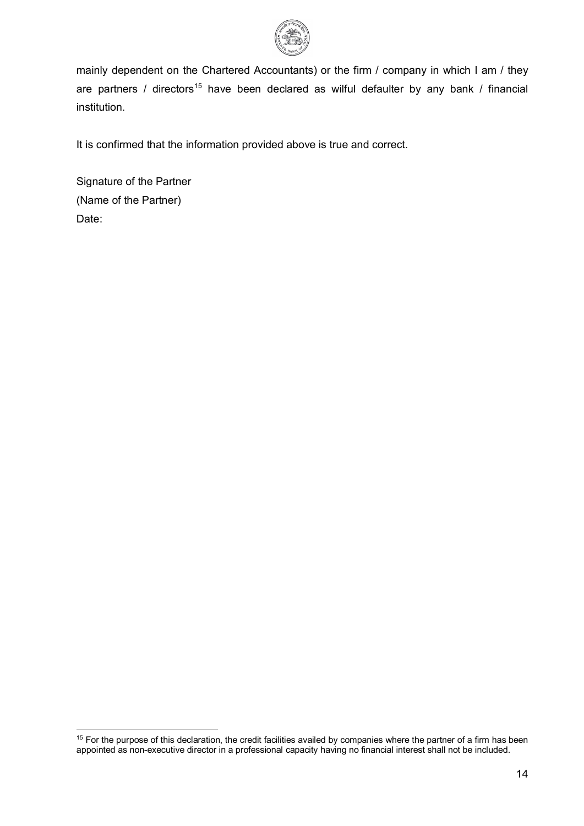

mainly dependent on the Chartered Accountants) or the firm / company in which I am / they are partners / directors<sup>[15](#page-13-0)</sup> have been declared as wilful defaulter by any bank / financial institution.

It is confirmed that the information provided above is true and correct.

Signature of the Partner (Name of the Partner) Date:

<span id="page-13-0"></span> $15$  For the purpose of this declaration, the credit facilities availed by companies where the partner of a firm has been appointed as non-executive director in a professional capacity having no financial interest shall not be included.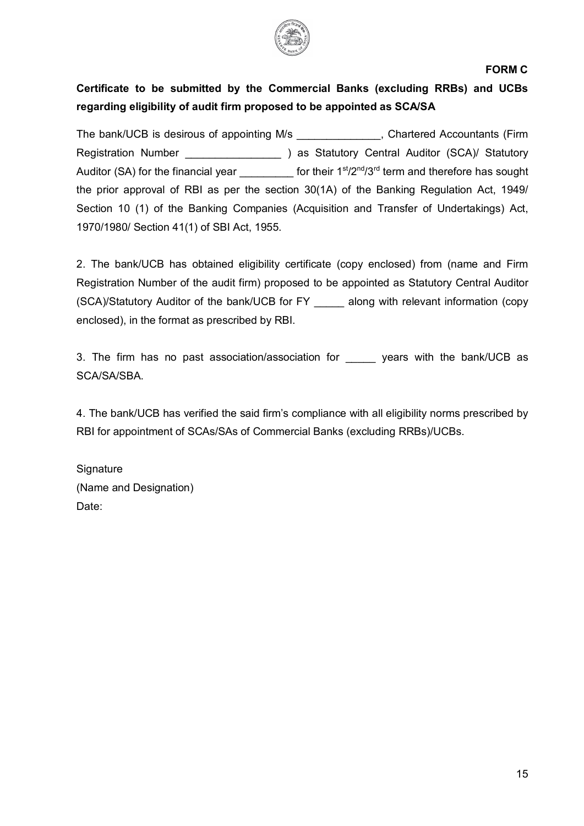

## **FORM C**

# **Certificate to be submitted by the Commercial Banks (excluding RRBs) and UCBs regarding eligibility of audit firm proposed to be appointed as SCA/SA**

The bank/UCB is desirous of appointing M/s The bank/UCB is desirous of appointing M/s Registration Number (SCA) as Statutory Central Auditor (SCA)/ Statutory Auditor (SA) for the financial year  $\qquad \qquad$  for their 1st/2<sup>nd</sup>/3<sup>rd</sup> term and therefore has sought the prior approval of RBI as per the section 30(1A) of the Banking Regulation Act, 1949/ Section 10 (1) of the Banking Companies (Acquisition and Transfer of Undertakings) Act, 1970/1980/ Section 41(1) of SBI Act, 1955.

2. The bank/UCB has obtained eligibility certificate (copy enclosed) from (name and Firm Registration Number of the audit firm) proposed to be appointed as Statutory Central Auditor (SCA)/Statutory Auditor of the bank/UCB for FY \_\_\_\_\_ along with relevant information (copy enclosed), in the format as prescribed by RBI.

3. The firm has no past association/association for years with the bank/UCB as SCA/SA/SBA.

4. The bank/UCB has verified the said firm's compliance with all eligibility norms prescribed by RBI for appointment of SCAs/SAs of Commercial Banks (excluding RRBs)/UCBs.

**Signature** (Name and Designation) Date: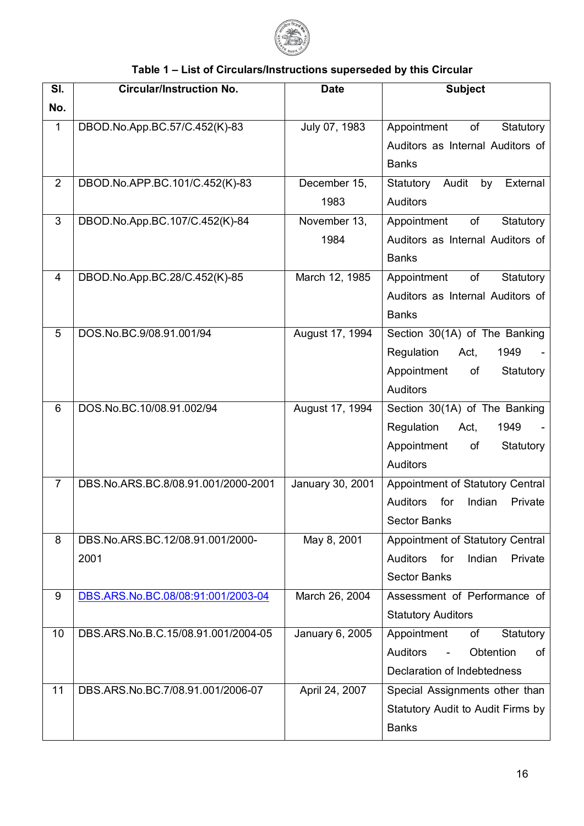

# **Table 1 – List of Circulars/Instructions superseded by this Circular**

| SI.            | <b>Circular/Instruction No.</b>     | <b>Date</b>      | <b>Subject</b>                                                                  |
|----------------|-------------------------------------|------------------|---------------------------------------------------------------------------------|
| No.            |                                     |                  |                                                                                 |
| $\mathbf{1}$   | DBOD.No.App.BC.57/C.452(K)-83       | July 07, 1983    | Appointment<br>of<br>Statutory                                                  |
|                |                                     |                  | Auditors as Internal Auditors of                                                |
|                |                                     |                  | <b>Banks</b>                                                                    |
| 2              | DBOD.No.APP.BC.101/C.452(K)-83      | December 15,     | Audit<br>Statutory<br>by<br>External                                            |
|                |                                     | 1983             | <b>Auditors</b>                                                                 |
| 3              | DBOD.No.App.BC.107/C.452(K)-84      | November 13,     | of<br>Statutory<br>Appointment                                                  |
|                |                                     | 1984             | Auditors as Internal Auditors of                                                |
|                |                                     |                  | <b>Banks</b>                                                                    |
| $\overline{4}$ | DBOD.No.App.BC.28/C.452(K)-85       | March 12, 1985   | of<br>Statutory<br>Appointment                                                  |
|                |                                     |                  | Auditors as Internal Auditors of                                                |
|                |                                     |                  | <b>Banks</b>                                                                    |
| 5              | DOS.No.BC.9/08.91.001/94            | August 17, 1994  | Section 30(1A) of The Banking                                                   |
|                |                                     |                  | Regulation<br>1949<br>Act,                                                      |
|                |                                     |                  | Appointment<br>of<br>Statutory                                                  |
|                |                                     |                  | <b>Auditors</b>                                                                 |
| 6              | DOS.No.BC.10/08.91.002/94           | August 17, 1994  | Section 30(1A) of The Banking                                                   |
|                |                                     |                  | Regulation<br>1949<br>Act,                                                      |
|                |                                     |                  | Appointment<br>of<br>Statutory                                                  |
|                |                                     |                  | <b>Auditors</b>                                                                 |
| $\overline{7}$ | DBS.No.ARS.BC.8/08.91.001/2000-2001 | January 30, 2001 | Appointment of Statutory Central                                                |
|                |                                     |                  | <b>Auditors</b><br>for<br>Indian<br>Private<br><b>Sector Banks</b>              |
| 8              | DBS.No.ARS.BC.12/08.91.001/2000-    |                  |                                                                                 |
|                | 2001                                | May 8, 2001      | Appointment of Statutory Central<br>Indian<br><b>Auditors</b><br>for<br>Private |
|                |                                     |                  | <b>Sector Banks</b>                                                             |
| 9              | DBS.ARS.No.BC.08/08:91:001/2003-04  | March 26, 2004   | Assessment of Performance of                                                    |
|                |                                     |                  | <b>Statutory Auditors</b>                                                       |
| 10             | DBS.ARS.No.B.C.15/08.91.001/2004-05 | January 6, 2005  | Appointment<br>Statutory<br>of                                                  |
|                |                                     |                  | <b>Auditors</b><br>Obtention<br>of<br>$\blacksquare$                            |
|                |                                     |                  | Declaration of Indebtedness                                                     |
| 11             | DBS.ARS.No.BC.7/08.91.001/2006-07   | April 24, 2007   | Special Assignments other than                                                  |
|                |                                     |                  | Statutory Audit to Audit Firms by                                               |
|                |                                     |                  | <b>Banks</b>                                                                    |
|                |                                     |                  |                                                                                 |